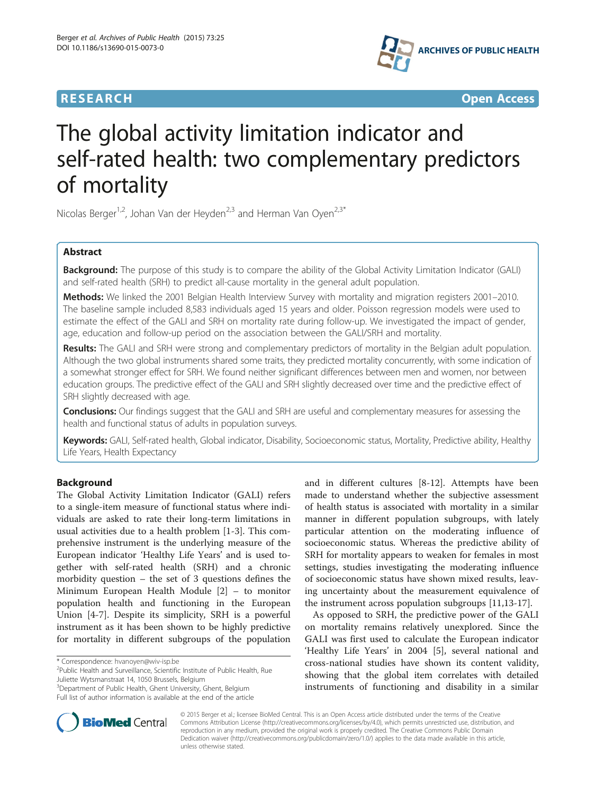

**RESEARCH CHE Open Access** 

# The global activity limitation indicator and self-rated health: two complementary predictors of mortality

Nicolas Berger<sup>1,2</sup>, Johan Van der Heyden<sup>2,3</sup> and Herman Van Oyen<sup>2,3\*</sup>

# Abstract

Background: The purpose of this study is to compare the ability of the Global Activity Limitation Indicator (GALI) and self-rated health (SRH) to predict all-cause mortality in the general adult population.

Methods: We linked the 2001 Belgian Health Interview Survey with mortality and migration registers 2001-2010. The baseline sample included 8,583 individuals aged 15 years and older. Poisson regression models were used to estimate the effect of the GALI and SRH on mortality rate during follow-up. We investigated the impact of gender, age, education and follow-up period on the association between the GALI/SRH and mortality.

Results: The GALI and SRH were strong and complementary predictors of mortality in the Belgian adult population. Although the two global instruments shared some traits, they predicted mortality concurrently, with some indication of a somewhat stronger effect for SRH. We found neither significant differences between men and women, nor between education groups. The predictive effect of the GALI and SRH slightly decreased over time and the predictive effect of SRH slightly decreased with age.

Conclusions: Our findings suggest that the GALI and SRH are useful and complementary measures for assessing the health and functional status of adults in population surveys.

Keywords: GALI, Self-rated health, Global indicator, Disability, Socioeconomic status, Mortality, Predictive ability, Healthy Life Years, Health Expectancy

# Background

The Global Activity Limitation Indicator (GALI) refers to a single-item measure of functional status where individuals are asked to rate their long-term limitations in usual activities due to a health problem [\[1-3](#page-5-0)]. This comprehensive instrument is the underlying measure of the European indicator 'Healthy Life Years' and is used together with self-rated health (SRH) and a chronic morbidity question – the set of 3 questions defines the Minimum European Health Module [[2\]](#page-5-0) – to monitor population health and functioning in the European Union [\[4](#page-5-0)-[7\]](#page-5-0). Despite its simplicity, SRH is a powerful instrument as it has been shown to be highly predictive for mortality in different subgroups of the population

and in different cultures [\[8](#page-5-0)-[12\]](#page-6-0). Attempts have been made to understand whether the subjective assessment of health status is associated with mortality in a similar manner in different population subgroups, with lately particular attention on the moderating influence of socioeconomic status. Whereas the predictive ability of SRH for mortality appears to weaken for females in most settings, studies investigating the moderating influence of socioeconomic status have shown mixed results, leaving uncertainty about the measurement equivalence of the instrument across population subgroups [[11,13-17](#page-6-0)].

As opposed to SRH, the predictive power of the GALI on mortality remains relatively unexplored. Since the GALI was first used to calculate the European indicator 'Healthy Life Years' in 2004 [[5\]](#page-5-0), several national and cross-national studies have shown its content validity, showing that the global item correlates with detailed instruments of functioning and disability in a similar



© 2015 Berger et al.; licensee BioMed Central. This is an Open Access article distributed under the terms of the Creative Commons Attribution License [\(http://creativecommons.org/licenses/by/4.0\)](http://creativecommons.org/licenses/by/4.0), which permits unrestricted use, distribution, and reproduction in any medium, provided the original work is properly credited. The Creative Commons Public Domain Dedication waiver [\(http://creativecommons.org/publicdomain/zero/1.0/](http://creativecommons.org/publicdomain/zero/1.0/)) applies to the data made available in this article, unless otherwise stated.

<sup>\*</sup> Correspondence: [hvanoyen@wiv-isp.be](mailto:hvanoyen@wiv-isp.be) <sup>2</sup>

<sup>&</sup>lt;sup>2</sup>Public Health and Surveillance, Scientific Institute of Public Health, Rue Juliette Wytsmanstraat 14, 1050 Brussels, Belgium

<sup>&</sup>lt;sup>3</sup>Department of Public Health, Ghent University, Ghent, Belgium

Full list of author information is available at the end of the article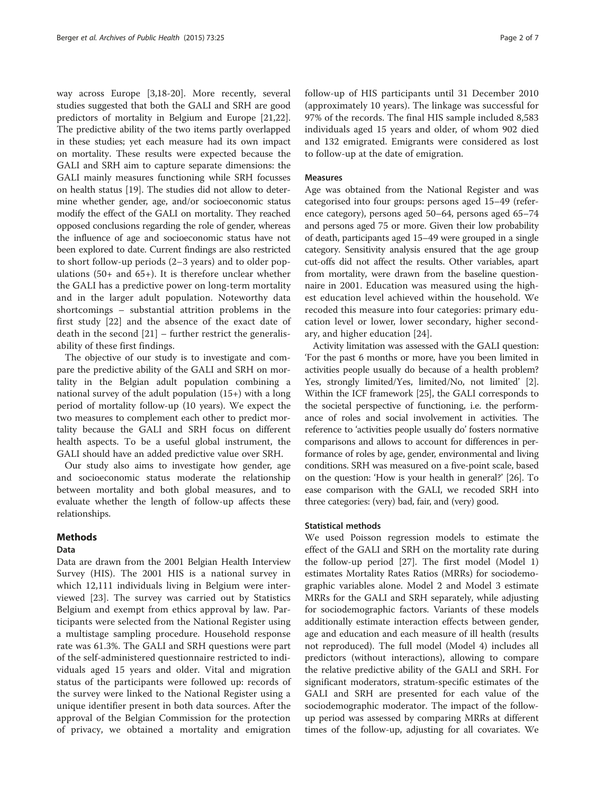way across Europe [\[3](#page-5-0)[,18-20](#page-6-0)]. More recently, several studies suggested that both the GALI and SRH are good predictors of mortality in Belgium and Europe [\[21,22](#page-6-0)]. The predictive ability of the two items partly overlapped in these studies; yet each measure had its own impact on mortality. These results were expected because the GALI and SRH aim to capture separate dimensions: the GALI mainly measures functioning while SRH focusses on health status [[19](#page-6-0)]. The studies did not allow to determine whether gender, age, and/or socioeconomic status modify the effect of the GALI on mortality. They reached opposed conclusions regarding the role of gender, whereas the influence of age and socioeconomic status have not been explored to date. Current findings are also restricted to short follow-up periods (2–3 years) and to older populations (50+ and 65+). It is therefore unclear whether the GALI has a predictive power on long-term mortality and in the larger adult population. Noteworthy data shortcomings – substantial attrition problems in the first study [[22\]](#page-6-0) and the absence of the exact date of death in the second [[21\]](#page-6-0) – further restrict the generalisability of these first findings.

The objective of our study is to investigate and compare the predictive ability of the GALI and SRH on mortality in the Belgian adult population combining a national survey of the adult population (15+) with a long period of mortality follow-up (10 years). We expect the two measures to complement each other to predict mortality because the GALI and SRH focus on different health aspects. To be a useful global instrument, the GALI should have an added predictive value over SRH.

Our study also aims to investigate how gender, age and socioeconomic status moderate the relationship between mortality and both global measures, and to evaluate whether the length of follow-up affects these relationships.

# Methods

#### Data

Data are drawn from the 2001 Belgian Health Interview Survey (HIS). The 2001 HIS is a national survey in which 12,111 individuals living in Belgium were interviewed [\[23](#page-6-0)]. The survey was carried out by Statistics Belgium and exempt from ethics approval by law. Participants were selected from the National Register using a multistage sampling procedure. Household response rate was 61.3%. The GALI and SRH questions were part of the self-administered questionnaire restricted to individuals aged 15 years and older. Vital and migration status of the participants were followed up: records of the survey were linked to the National Register using a unique identifier present in both data sources. After the approval of the Belgian Commission for the protection of privacy, we obtained a mortality and emigration follow-up of HIS participants until 31 December 2010 (approximately 10 years). The linkage was successful for 97% of the records. The final HIS sample included 8,583 individuals aged 15 years and older, of whom 902 died and 132 emigrated. Emigrants were considered as lost to follow-up at the date of emigration.

# Measures

Age was obtained from the National Register and was categorised into four groups: persons aged 15–49 (reference category), persons aged 50–64, persons aged 65–74 and persons aged 75 or more. Given their low probability of death, participants aged 15–49 were grouped in a single category. Sensitivity analysis ensured that the age group cut-offs did not affect the results. Other variables, apart from mortality, were drawn from the baseline questionnaire in 2001. Education was measured using the highest education level achieved within the household. We recoded this measure into four categories: primary education level or lower, lower secondary, higher secondary, and higher education [\[24](#page-6-0)].

Activity limitation was assessed with the GALI question: 'For the past 6 months or more, have you been limited in activities people usually do because of a health problem? Yes, strongly limited/Yes, limited/No, not limited' [[2](#page-5-0)]. Within the ICF framework [\[25\]](#page-6-0), the GALI corresponds to the societal perspective of functioning, i.e. the performance of roles and social involvement in activities. The reference to 'activities people usually do' fosters normative comparisons and allows to account for differences in performance of roles by age, gender, environmental and living conditions. SRH was measured on a five-point scale, based on the question: 'How is your health in general?' [\[26\]](#page-6-0). To ease comparison with the GALI, we recoded SRH into three categories: (very) bad, fair, and (very) good.

#### Statistical methods

We used Poisson regression models to estimate the effect of the GALI and SRH on the mortality rate during the follow-up period [[27\]](#page-6-0). The first model (Model 1) estimates Mortality Rates Ratios (MRRs) for sociodemographic variables alone. Model 2 and Model 3 estimate MRRs for the GALI and SRH separately, while adjusting for sociodemographic factors. Variants of these models additionally estimate interaction effects between gender, age and education and each measure of ill health (results not reproduced). The full model (Model 4) includes all predictors (without interactions), allowing to compare the relative predictive ability of the GALI and SRH. For significant moderators, stratum-specific estimates of the GALI and SRH are presented for each value of the sociodemographic moderator. The impact of the followup period was assessed by comparing MRRs at different times of the follow-up, adjusting for all covariates. We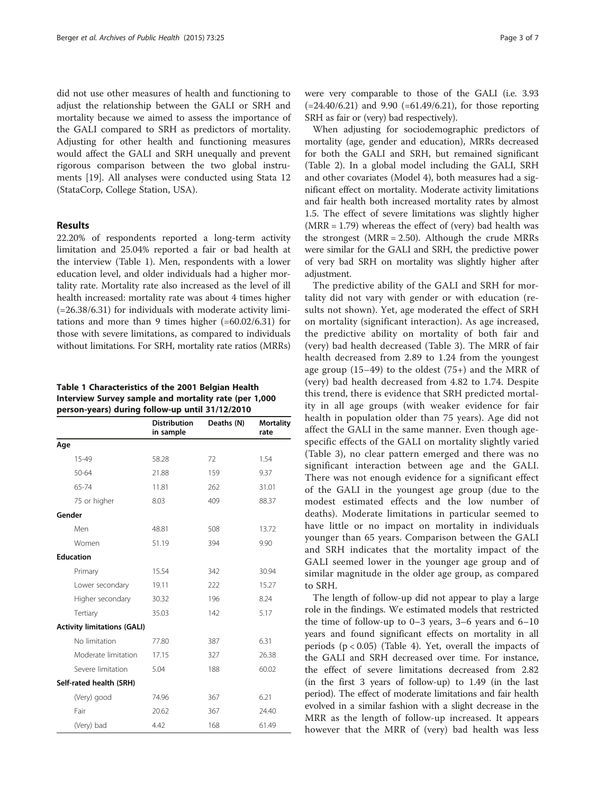did not use other measures of health and functioning to adjust the relationship between the GALI or SRH and mortality because we aimed to assess the importance of the GALI compared to SRH as predictors of mortality. Adjusting for other health and functioning measures would affect the GALI and SRH unequally and prevent rigorous comparison between the two global instruments [[19\]](#page-6-0). All analyses were conducted using Stata 12 (StataCorp, College Station, USA).

# Results

22.20% of respondents reported a long-term activity limitation and 25.04% reported a fair or bad health at the interview (Table 1). Men, respondents with a lower education level, and older individuals had a higher mortality rate. Mortality rate also increased as the level of ill health increased: mortality rate was about 4 times higher (=26.38/6.31) for individuals with moderate activity limitations and more than 9 times higher (=60.02/6.31) for those with severe limitations, as compared to individuals without limitations. For SRH, mortality rate ratios (MRRs)

# Table 1 Characteristics of the 2001 Belgian Health Interview Survey sample and mortality rate (per 1,000 person-years) during follow-up until 31/12/2010

|                                    | <b>Distribution</b><br>in sample | Deaths (N) | <b>Mortality</b><br>rate |
|------------------------------------|----------------------------------|------------|--------------------------|
| Age                                |                                  |            |                          |
| 15-49                              | 58.28                            | 72         | 1.54                     |
| 50-64                              | 21.88                            | 159        | 9.37                     |
| 65-74                              | 11.81                            | 262        | 31.01                    |
| 75 or higher                       | 8.03                             | 409        | 88.37                    |
| Gender                             |                                  |            |                          |
| Men                                | 48.81                            | 508        | 13.72                    |
| Women                              | 51.19                            | 394        | 9.90                     |
| <b>Education</b>                   |                                  |            |                          |
| Primary                            | 15.54                            | 342        | 30.94                    |
| Lower secondary                    | 19.11                            | 222        | 15.27                    |
| Higher secondary                   | 30.32                            | 196        | 8.24                     |
| Tertiary                           | 35.03                            | 142        | 5.17                     |
| <b>Activity limitations (GALI)</b> |                                  |            |                          |
| No limitation                      | 77.80                            | 387        | 6.31                     |
| Moderate limitation                | 17.15                            | 327        | 26.38                    |
| Severe limitation                  | 5.04                             | 188        | 60.02                    |
| Self-rated health (SRH)            |                                  |            |                          |
| (Very) good                        | 74.96                            | 367        | 6.21                     |
| Fair                               | 20.62                            | 367        | 24.40                    |
| (Very) bad                         | 4.42                             | 168        | 61.49                    |

were very comparable to those of the GALI (i.e. 3.93 (=24.40/6.21) and 9.90 (=61.49/6.21), for those reporting SRH as fair or (very) bad respectively).

When adjusting for sociodemographic predictors of mortality (age, gender and education), MRRs decreased for both the GALI and SRH, but remained significant (Table [2](#page-3-0)). In a global model including the GALI, SRH and other covariates (Model 4), both measures had a significant effect on mortality. Moderate activity limitations and fair health both increased mortality rates by almost 1.5. The effect of severe limitations was slightly higher  $(MRR = 1.79)$  whereas the effect of (very) bad health was the strongest ( $MRR = 2.50$ ). Although the crude  $MRRs$ were similar for the GALI and SRH, the predictive power of very bad SRH on mortality was slightly higher after adjustment.

The predictive ability of the GALI and SRH for mortality did not vary with gender or with education (results not shown). Yet, age moderated the effect of SRH on mortality (significant interaction). As age increased, the predictive ability on mortality of both fair and (very) bad health decreased (Table [3](#page-4-0)). The MRR of fair health decreased from 2.89 to 1.24 from the youngest age group  $(15-49)$  to the oldest  $(75+)$  and the MRR of (very) bad health decreased from 4.82 to 1.74. Despite this trend, there is evidence that SRH predicted mortality in all age groups (with weaker evidence for fair health in population older than 75 years). Age did not affect the GALI in the same manner. Even though agespecific effects of the GALI on mortality slightly varied (Table [3](#page-4-0)), no clear pattern emerged and there was no significant interaction between age and the GALI. There was not enough evidence for a significant effect of the GALI in the youngest age group (due to the modest estimated effects and the low number of deaths). Moderate limitations in particular seemed to have little or no impact on mortality in individuals younger than 65 years. Comparison between the GALI and SRH indicates that the mortality impact of the GALI seemed lower in the younger age group and of similar magnitude in the older age group, as compared to SRH.

The length of follow-up did not appear to play a large role in the findings. We estimated models that restricted the time of follow-up to 0–3 years, 3–6 years and 6–10 years and found significant effects on mortality in all periods  $(p < 0.05)$  (Table [4\)](#page-4-0). Yet, overall the impacts of the GALI and SRH decreased over time. For instance, the effect of severe limitations decreased from 2.82 (in the first 3 years of follow-up) to 1.49 (in the last period). The effect of moderate limitations and fair health evolved in a similar fashion with a slight decrease in the MRR as the length of follow-up increased. It appears however that the MRR of (very) bad health was less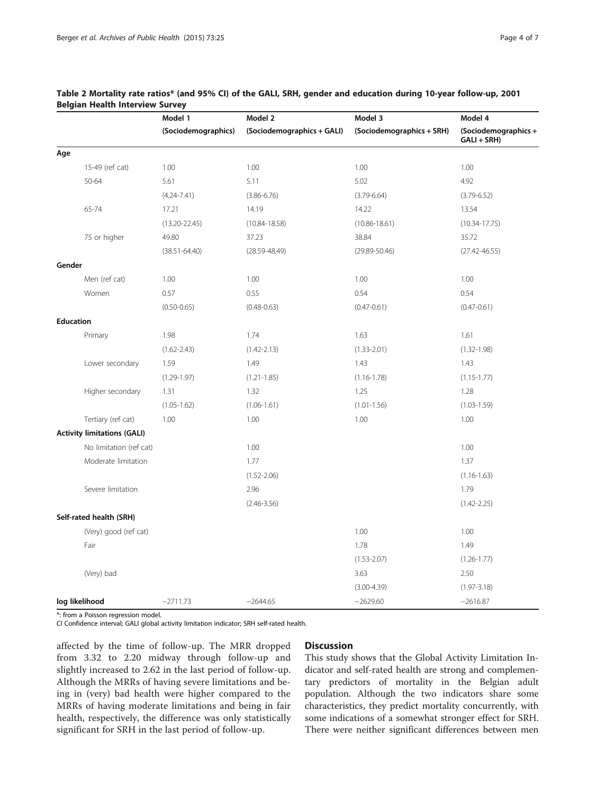|                                    | Model 1             | Model 2                    | Model 3                   | Model 4                             |
|------------------------------------|---------------------|----------------------------|---------------------------|-------------------------------------|
|                                    | (Sociodemographics) | (Sociodemographics + GALI) | (Sociodemographics + SRH) | (Sociodemographics +<br>GALI + SRH) |
| Age                                |                     |                            |                           |                                     |
| 15-49 (ref cat)                    | 1.00                | 1.00                       | 1.00                      | 1.00                                |
| 50-64                              | 5.61                | 5.11                       | 5.02                      | 4.92                                |
|                                    | $(4.24 - 7.41)$     | $(3.86 - 6.76)$            | $(3.79 - 6.64)$           | $(3.79 - 6.52)$                     |
| 65-74                              | 17.21               | 14.19                      | 14.22                     | 13.54                               |
|                                    | $(13.20 - 22.45)$   | $(10.84 - 18.58)$          | $(10.86 - 18.61)$         | $(10.34 - 17.75)$                   |
| 75 or higher                       | 49.80               | 37.23                      | 38.84                     | 35.72                               |
|                                    | $(38.51 - 64.40)$   | $(28.59 - 48.49)$          | $(29.89 - 50.46)$         | $(27.42 - 46.55)$                   |
| Gender                             |                     |                            |                           |                                     |
| Men (ref cat)                      | 1.00                | 1.00                       | 1.00                      | 1.00                                |
| Women                              | 0.57                | 0.55                       | 0.54                      | 0.54                                |
|                                    | $(0.50 - 0.65)$     | $(0.48 - 0.63)$            | $(0.47 - 0.61)$           | $(0.47 - 0.61)$                     |
| <b>Education</b>                   |                     |                            |                           |                                     |
| Primary                            | 1.98                | 1.74                       | 1.63                      | 1.61                                |
|                                    | $(1.62 - 2.43)$     | $(1.42 - 2.13)$            | $(1.33 - 2.01)$           | $(1.32 - 1.98)$                     |
| Lower secondary                    | 1.59                | 1.49                       | 1.43                      | 1.43                                |
|                                    | $(1.29 - 1.97)$     | $(1.21 - 1.85)$            | $(1.16 - 1.78)$           | $(1.15 - 1.77)$                     |
| Higher secondary                   | 1.31                | 1.32                       | 1.25                      | 1.28                                |
|                                    | $(1.05 - 1.62)$     | $(1.06 - 1.61)$            | $(1.01 - 1.56)$           | $(1.03 - 1.59)$                     |
| Tertiary (ref cat)                 | 1.00                | 1.00                       | 1.00                      | 1.00                                |
| <b>Activity limitations (GALI)</b> |                     |                            |                           |                                     |
| No limitation (ref cat)            |                     | 1.00                       |                           | 1.00                                |
| Moderate limitation                |                     | 1.77                       |                           | 1.37                                |
|                                    |                     | $(1.52 - 2.06)$            |                           | $(1.16 - 1.63)$                     |
| Severe limitation                  |                     | 2.96                       |                           | 1.79                                |
|                                    |                     | $(2.46 - 3.56)$            |                           | $(1.42 - 2.25)$                     |
| Self-rated health (SRH)            |                     |                            |                           |                                     |
| (Very) good (ref cat)              |                     |                            | 1.00                      | 1.00                                |
| Fair                               |                     |                            | 1.78                      | 1.49                                |
|                                    |                     |                            | $(1.53 - 2.07)$           | $(1.26 - 1.77)$                     |
| (Very) bad                         |                     |                            | 3.63                      | 2.50                                |
|                                    |                     |                            | $(3.00-4.39)$             | $(1.97 - 3.18)$                     |
| log likelihood                     | $-2711.73$          | $-2644.65$                 | $-2629.60$                | $-2616.87$                          |

# <span id="page-3-0"></span>Table 2 Mortality rate ratios\* (and 95% CI) of the GALI, SRH, gender and education during 10-year follow-up, 2001 Belgian Health Interview Survey

\*: from a Poisson regression model.

CI Confidence interval; GALI global activity limitation indicator; SRH self-rated health.

affected by the time of follow-up. The MRR dropped from 3.32 to 2.20 midway through follow-up and slightly increased to 2.62 in the last period of follow-up. Although the MRRs of having severe limitations and being in (very) bad health were higher compared to the MRRs of having moderate limitations and being in fair health, respectively, the difference was only statistically significant for SRH in the last period of follow-up.

# **Discussion**

This study shows that the Global Activity Limitation Indicator and self-rated health are strong and complementary predictors of mortality in the Belgian adult population. Although the two indicators share some characteristics, they predict mortality concurrently, with some indications of a somewhat stronger effect for SRH. There were neither significant differences between men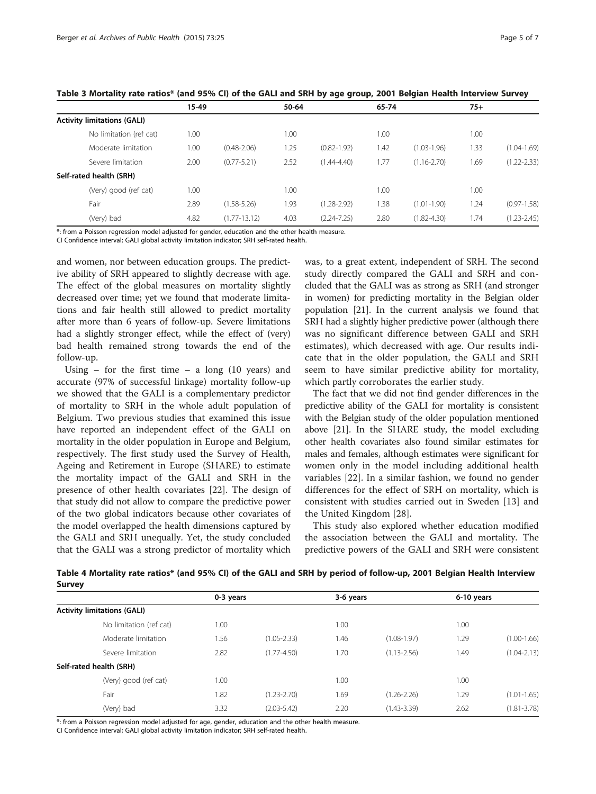|                                    | 15-49 |                  | 50-64 |                 | 65-74 |                 | $75+$ |                 |
|------------------------------------|-------|------------------|-------|-----------------|-------|-----------------|-------|-----------------|
| <b>Activity limitations (GALI)</b> |       |                  |       |                 |       |                 |       |                 |
| No limitation (ref cat)            | 1.00  |                  | 1.00  |                 | 1.00  |                 | 1.00  |                 |
| Moderate limitation                | 1.00  | $(0.48 - 2.06)$  | 1.25  | $(0.82 - 1.92)$ | 1.42  | $(1.03 - 1.96)$ | 1.33  | $(1.04 - 1.69)$ |
| Severe limitation                  | 2.00  | $(0.77 - 5.21)$  | 2.52  | $(1.44 - 4.40)$ | 1.77  | $(1.16 - 2.70)$ | 1.69  | $(1.22 - 2.33)$ |
| Self-rated health (SRH)            |       |                  |       |                 |       |                 |       |                 |
| (Very) good (ref cat)              | 1.00  |                  | 1.00  |                 | 1.00  |                 | 1.00  |                 |
| Fair                               | 2.89  | $(1.58 - 5.26)$  | 1.93  | $(1.28 - 2.92)$ | 1.38  | $(1.01 - 1.90)$ | 1.24  | $(0.97 - 1.58)$ |
| (Very) bad                         | 4.82  | $(1.77 - 13.12)$ | 4.03  | $(2.24 - 7.25)$ | 2.80  | $(1.82 - 4.30)$ | 1.74  | $(1.23 - 2.45)$ |

<span id="page-4-0"></span>Table 3 Mortality rate ratios\* (and 95% CI) of the GALI and SRH by age group, 2001 Belgian Health Interview Survey

\*: from a Poisson regression model adjusted for gender, education and the other health measure.

CI Confidence interval; GALI global activity limitation indicator; SRH self-rated health.

and women, nor between education groups. The predictive ability of SRH appeared to slightly decrease with age. The effect of the global measures on mortality slightly decreased over time; yet we found that moderate limitations and fair health still allowed to predict mortality after more than 6 years of follow-up. Severe limitations had a slightly stronger effect, while the effect of (very) bad health remained strong towards the end of the follow-up.

Using – for the first time – a long  $(10 \text{ years})$  and accurate (97% of successful linkage) mortality follow-up we showed that the GALI is a complementary predictor of mortality to SRH in the whole adult population of Belgium. Two previous studies that examined this issue have reported an independent effect of the GALI on mortality in the older population in Europe and Belgium, respectively. The first study used the Survey of Health, Ageing and Retirement in Europe (SHARE) to estimate the mortality impact of the GALI and SRH in the presence of other health covariates [\[22](#page-6-0)]. The design of that study did not allow to compare the predictive power of the two global indicators because other covariates of the model overlapped the health dimensions captured by the GALI and SRH unequally. Yet, the study concluded that the GALI was a strong predictor of mortality which was, to a great extent, independent of SRH. The second study directly compared the GALI and SRH and concluded that the GALI was as strong as SRH (and stronger in women) for predicting mortality in the Belgian older population [\[21\]](#page-6-0). In the current analysis we found that SRH had a slightly higher predictive power (although there was no significant difference between GALI and SRH estimates), which decreased with age. Our results indicate that in the older population, the GALI and SRH seem to have similar predictive ability for mortality, which partly corroborates the earlier study.

The fact that we did not find gender differences in the predictive ability of the GALI for mortality is consistent with the Belgian study of the older population mentioned above [\[21\]](#page-6-0). In the SHARE study, the model excluding other health covariates also found similar estimates for males and females, although estimates were significant for women only in the model including additional health variables [[22\]](#page-6-0). In a similar fashion, we found no gender differences for the effect of SRH on mortality, which is consistent with studies carried out in Sweden [\[13](#page-6-0)] and the United Kingdom [[28](#page-6-0)].

This study also explored whether education modified the association between the GALI and mortality. The predictive powers of the GALI and SRH were consistent

| Table 4 Mortality rate ratios* (and 95% CI) of the GALI and SRH by period of follow-up, 2001 Belgian Health Interview |  |  |
|-----------------------------------------------------------------------------------------------------------------------|--|--|
| <b>Survey</b>                                                                                                         |  |  |

|                                    |                         | 0-3 years<br>3-6 years |                 | 6-10 years |                 |      |                 |  |
|------------------------------------|-------------------------|------------------------|-----------------|------------|-----------------|------|-----------------|--|
| <b>Activity limitations (GALI)</b> |                         |                        |                 |            |                 |      |                 |  |
|                                    | No limitation (ref cat) | 1.00                   |                 | 1.00       |                 | 1.00 |                 |  |
|                                    | Moderate limitation     | 1.56                   | $(1.05 - 2.33)$ | 1.46       | $(1.08 - 1.97)$ | 1.29 | $(1.00-1.66)$   |  |
|                                    | Severe limitation       | 2.82                   | $(1.77 - 4.50)$ | 1.70       | $(1.13 - 2.56)$ | 1.49 | $(1.04 - 2.13)$ |  |
| Self-rated health (SRH)            |                         |                        |                 |            |                 |      |                 |  |
|                                    | (Very) good (ref cat)   | 1.00                   |                 | 1.00       |                 | 1.00 |                 |  |
|                                    | Fair                    | 1.82                   | $(1.23 - 2.70)$ | 1.69       | $(1.26 - 2.26)$ | 1.29 | $(1.01 - 1.65)$ |  |
|                                    | (Very) bad              | 3.32                   | $(2.03 - 5.42)$ | 2.20       | $(1.43 - 3.39)$ | 2.62 | $(1.81 - 3.78)$ |  |

\*: from a Poisson regression model adjusted for age, gender, education and the other health measure.

CI Confidence interval; GALI global activity limitation indicator; SRH self-rated health.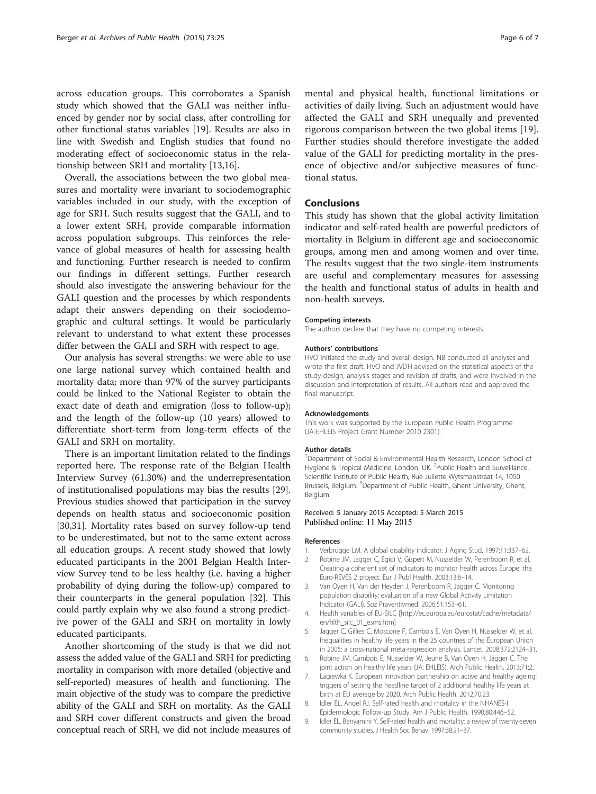<span id="page-5-0"></span>across education groups. This corroborates a Spanish study which showed that the GALI was neither influenced by gender nor by social class, after controlling for other functional status variables [[19\]](#page-6-0). Results are also in line with Swedish and English studies that found no moderating effect of socioeconomic status in the relationship between SRH and mortality [\[13,16](#page-6-0)].

Overall, the associations between the two global measures and mortality were invariant to sociodemographic variables included in our study, with the exception of age for SRH. Such results suggest that the GALI, and to a lower extent SRH, provide comparable information across population subgroups. This reinforces the relevance of global measures of health for assessing health and functioning. Further research is needed to confirm our findings in different settings. Further research should also investigate the answering behaviour for the GALI question and the processes by which respondents adapt their answers depending on their sociodemographic and cultural settings. It would be particularly relevant to understand to what extent these processes differ between the GALI and SRH with respect to age.

Our analysis has several strengths: we were able to use one large national survey which contained health and mortality data; more than 97% of the survey participants could be linked to the National Register to obtain the exact date of death and emigration (loss to follow-up); and the length of the follow-up (10 years) allowed to differentiate short-term from long-term effects of the GALI and SRH on mortality.

There is an important limitation related to the findings reported here. The response rate of the Belgian Health Interview Survey (61.30%) and the underrepresentation of institutionalised populations may bias the results [\[29](#page-6-0)]. Previous studies showed that participation in the survey depends on health status and socioeconomic position [[30,31\]](#page-6-0). Mortality rates based on survey follow-up tend to be underestimated, but not to the same extent across all education groups. A recent study showed that lowly educated participants in the 2001 Belgian Health Interview Survey tend to be less healthy (i.e. having a higher probability of dying during the follow-up) compared to their counterparts in the general population [[32\]](#page-6-0). This could partly explain why we also found a strong predictive power of the GALI and SRH on mortality in lowly educated participants.

Another shortcoming of the study is that we did not assess the added value of the GALI and SRH for predicting mortality in comparison with more detailed (objective and self-reported) measures of health and functioning. The main objective of the study was to compare the predictive ability of the GALI and SRH on mortality. As the GALI and SRH cover different constructs and given the broad conceptual reach of SRH, we did not include measures of mental and physical health, functional limitations or activities of daily living. Such an adjustment would have affected the GALI and SRH unequally and prevented rigorous comparison between the two global items [[19](#page-6-0)]. Further studies should therefore investigate the added value of the GALI for predicting mortality in the presence of objective and/or subjective measures of functional status.

### Conclusions

This study has shown that the global activity limitation indicator and self-rated health are powerful predictors of mortality in Belgium in different age and socioeconomic groups, among men and among women and over time. The results suggest that the two single-item instruments are useful and complementary measures for assessing the health and functional status of adults in health and non-health surveys.

#### Competing interests

The authors declare that they have no competing interests.

#### Authors' contributions

HVO initiated the study and overall design. NB conducted all analyses and wrote the first draft. HVO and JVDH advised on the statistical aspects of the study design, analysis stages and revision of drafts, and were involved in the discussion and interpretation of results. All authors read and approved the final manuscript.

#### Acknowledgements

This work was supported by the European Public Health Programme (JA-EHLEIS Project Grant Number 2010 2301).

#### Author details

<sup>1</sup>Department of Social & Environmental Health Research, London School of Hygiene & Tropical Medicine, London, UK. <sup>2</sup>Public Health and Surveillance, Scientific Institute of Public Health, Rue Juliette Wytsmanstraat 14, 1050 Brussels, Belgium. <sup>3</sup>Department of Public Health, Ghent University, Ghent Belgium.

#### Received: 5 January 2015 Accepted: 5 March 2015 Published online: 11 May 2015

#### References

- 1. Verbrugge LM. A global disability indicator. J Aging Stud. 1997;11:337–62.
- 2. Robine JM, Jagger C, Egidi V, Gispert M, Nusselder W, Perenboom R, et al. Creating a coherent set of indicators to monitor health across Europe: the Euro-REVES 2 project. Eur J Publ Health. 2003;13:6–14.
- Van Oyen H, Van der Heyden J, Perenboom R, Jagger C. Monitoring population disability: evaluation of a new Global Activity Limitation Indicator (GALI). Soz Praventivmed. 2006;51:153–61.
- 4. Health variables of EU-SILC [\[http://ec.europa.eu/eurostat/cache/metadata/](http://ec.europa.eu/eurostat/cache/metadata/en/hlth_silc_01_esms.htm) [en/hlth\\_silc\\_01\\_esms.htm](http://ec.europa.eu/eurostat/cache/metadata/en/hlth_silc_01_esms.htm)]
- 5. Jagger C, Gillies C, Moscone F, Cambois E, Van Oyen H, Nusselder W, et al. Inequalities in healthy life years in the 25 countries of the European Union in 2005: a cross-national meta-regression analysis. Lancet. 2008;372:2124–31.
- 6. Robine JM, Cambois E, Nusselder W, Jeune B, Van Oyen H, Jagger C. The joint action on healthy life years (JA: EHLEIS). Arch Public Health. 2013;71:2.
- 7. Lagiewka K. European innovation partnership on active and healthy ageing: triggers of setting the headline target of 2 additional healthy life years at birth at EU average by 2020. Arch Public Health. 2012;70:23.
- 8. Idler EL, Angel RJ. Self-rated health and mortality in the NHANES-I Epidemiologic Follow-up Study. Am J Public Health. 1990;80:446–52.
- 9. Idler EL, Benyamini Y. Self-rated health and mortality: a review of twenty-seven community studies. J Health Soc Behav. 1997;38:21–37.